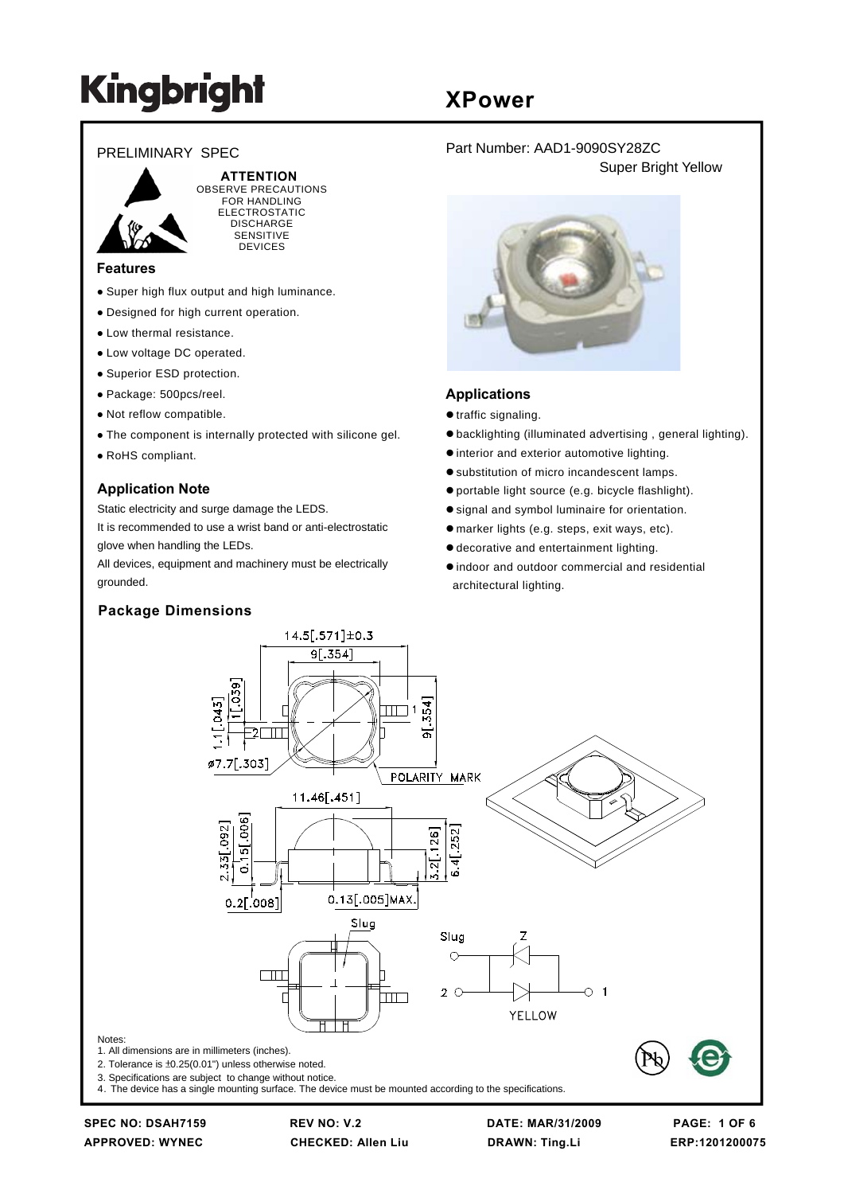#### PRELIMINARY SPEC



 **ATTENTION** OBSERVE PRECAUTIONS FOR HANDLING ELECTROSTATIC DISCHARGE SENSITIVE **DEVICES** 

#### **Features**

- Super high flux output and high luminance.
- Designed for high current operation.
- Low thermal resistance.
- Low voltage DC operated.
- Superior ESD protection.
- Package: 500pcs/reel.
- Not reflow compatible.
- The component is internally protected with silicone gel.
- RoHS compliant.

#### **Application Note**

Static electricity and surge damage the LEDS.

It is recommended to use a wrist band or anti-electrostatic glove when handling the LEDs.

All devices, equipment and machinery must be electrically grounded.

#### **Package Dimensions**

### **XPower**

Part Number: AAD1-9090SY28ZC Super Bright Yellow



#### **Applications**

- $\bullet$  traffic signaling.
- $\bullet$  backlighting (illuminated advertising, general lighting).
- $\bullet$  interior and exterior automotive lighting.
- $\bullet$  substitution of micro incandescent lamps.
- $\bullet$  portable light source (e.g. bicycle flashlight).
- signal and symbol luminaire for orientation.
- $\bullet$  marker lights (e.g. steps, exit ways, etc).
- $\bullet$  decorative and entertainment lighting.
- $\bullet$  indoor and outdoor commercial and residential architectural lighting.



**APPROVED: WYNEC CHECKED: Allen Liu DRAWN: Ting.Li ERP:1201200075**

**SPEC NO: DSAH7159 REV NO: V.2 DATE: MAR/31/2009 PAGE: 1 OF 6**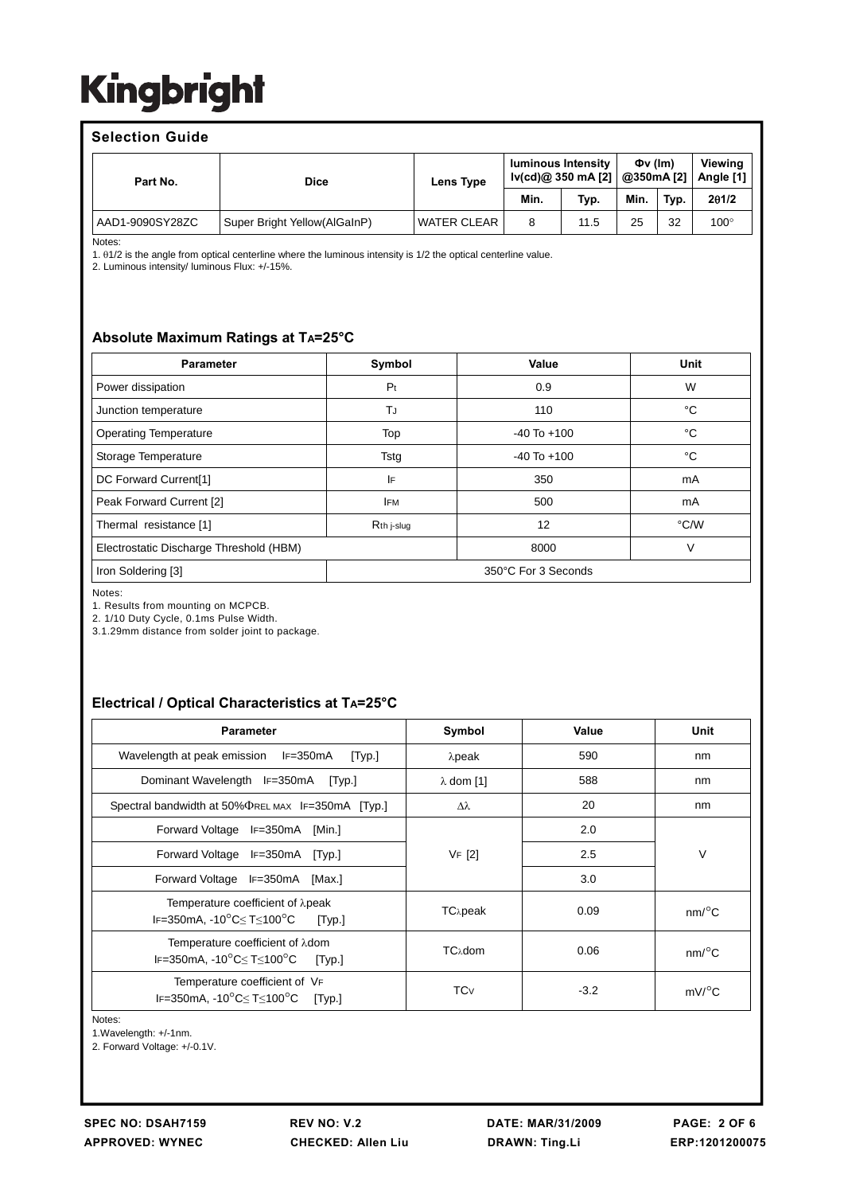#### **Selection Guide**

| Part No.        | <b>Dice</b>                  | Lens Type          | <b>luminous Intensity</b><br>lv(cd)@ 350 mA [2] |      | $\Phi$ v $(lm)$<br>@350mA [2] |      | Viewina<br>Angle [1] |
|-----------------|------------------------------|--------------------|-------------------------------------------------|------|-------------------------------|------|----------------------|
|                 |                              |                    | Min.                                            | Typ. | Min.                          | Typ. | 201/2                |
| AAD1-9090SY28ZC | Super Bright Yellow(AlGaInP) | <b>WATER CLEAR</b> | 8                                               | 11.5 | 25                            | 32   | $100^\circ$          |

Notes:

1. θ1/2 is the angle from optical centerline where the luminous intensity is 1/2 the optical centerline value.

2. Luminous intensity/ luminous Flux: +/-15%.

#### **Absolute Maximum Ratings at TA=25°C**

| <b>Parameter</b>                          | Symbol     | Value           | Unit |  |
|-------------------------------------------|------------|-----------------|------|--|
| Power dissipation                         | Pt         | 0.9             | W    |  |
| Junction temperature                      | TJ         | 110             | °C   |  |
| <b>Operating Temperature</b>              | Top        | $-40$ To $+100$ | °C   |  |
| Storage Temperature                       | Tstg       | $-40$ To $+100$ | °C   |  |
| DC Forward Current[1]                     | IF         | 350             | mA   |  |
| Peak Forward Current [2]                  | <b>IFM</b> | 500             | mA   |  |
| Thermal resistance [1]                    | Rth j-slug | 12              | °C/W |  |
| Electrostatic Discharge Threshold (HBM)   |            | 8000            | V    |  |
| 350°C For 3 Seconds<br>Iron Soldering [3] |            |                 |      |  |

Notes:

1. Results from mounting on MCPCB.

2. 1/10 Duty Cycle, 0.1ms Pulse Width.

3.1.29mm distance from solder joint to package.

### **Electrical / Optical Characteristics at TA=25°C**

| <b>Parameter</b>                                                                                                   | Symbol                 | Value  | Unit                  |  |
|--------------------------------------------------------------------------------------------------------------------|------------------------|--------|-----------------------|--|
| Wavelength at peak emission<br>$IF = 350mA$<br>[Typ.]                                                              | $λ$ peak               | 590    | nm                    |  |
| Dominant Wavelength IF=350mA [Typ.]                                                                                | $\lambda$ dom [1]      | 588    | nm                    |  |
| Spectral bandwidth at 50% THE MAX IF=350 mA [Typ.]                                                                 | Δλ                     | 20     | nm                    |  |
| Forward Voltage IF=350mA [Min.]                                                                                    |                        | 2.0    |                       |  |
| Forward Voltage IF=350mA<br>[Typ.]                                                                                 | VF [2]                 | 2.5    | $\vee$                |  |
| Forward Voltage IF=350mA [Max.]                                                                                    |                        | 3.0    |                       |  |
| Temperature coefficient of $\lambda$ peak<br>IF=350mA, -10 $^{\circ}$ C $\leq$ T $\leq$ 100 $^{\circ}$ C<br>[Typ.] | TC <sub>λ</sub> peak   | 0.09   | $nm$ <sup>o</sup> $C$ |  |
| Temperature coefficient of λdom<br>IF=350mA, -10°C≤T≤100°C<br>[Typ.]                                               | TCλdom                 | 0.06   | $nm$ <sup>o</sup> $C$ |  |
| Temperature coefficient of VF<br>IF=350mA, -10°C≤T≤100°C<br>[Typ.]                                                 | <b>TC</b> <sub>V</sub> | $-3.2$ | $mV$ <sup>o</sup> C   |  |

Notes:

1.Wavelength: +/-1nm.

2. Forward Voltage: +/-0.1V.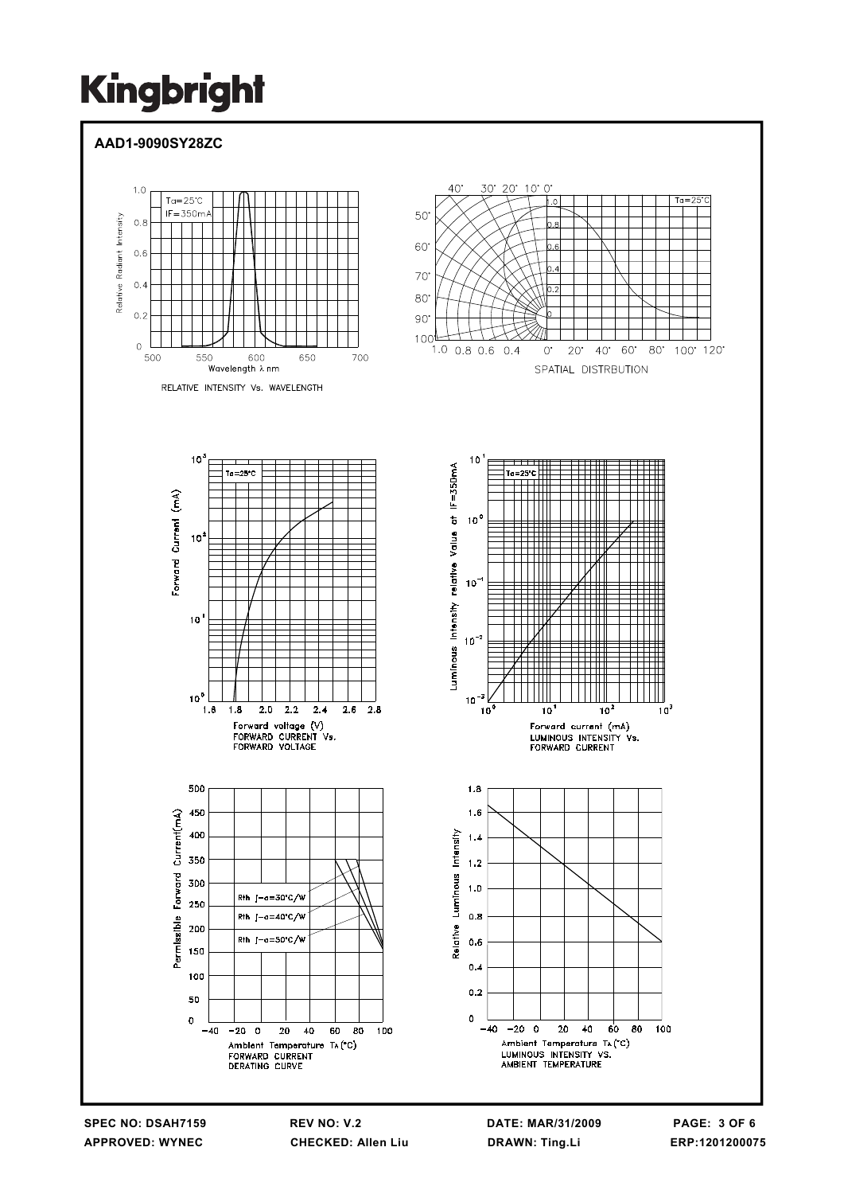### **AAD1-9090SY28ZC**



**SPEC NO: DSAH7159 REV NO: V.2 DATE: MAR/31/2009 PAGE: 3 OF 6 APPROVED: WYNEC CHECKED: Allen Liu DRAWN: Ting.Li ERP:1201200075**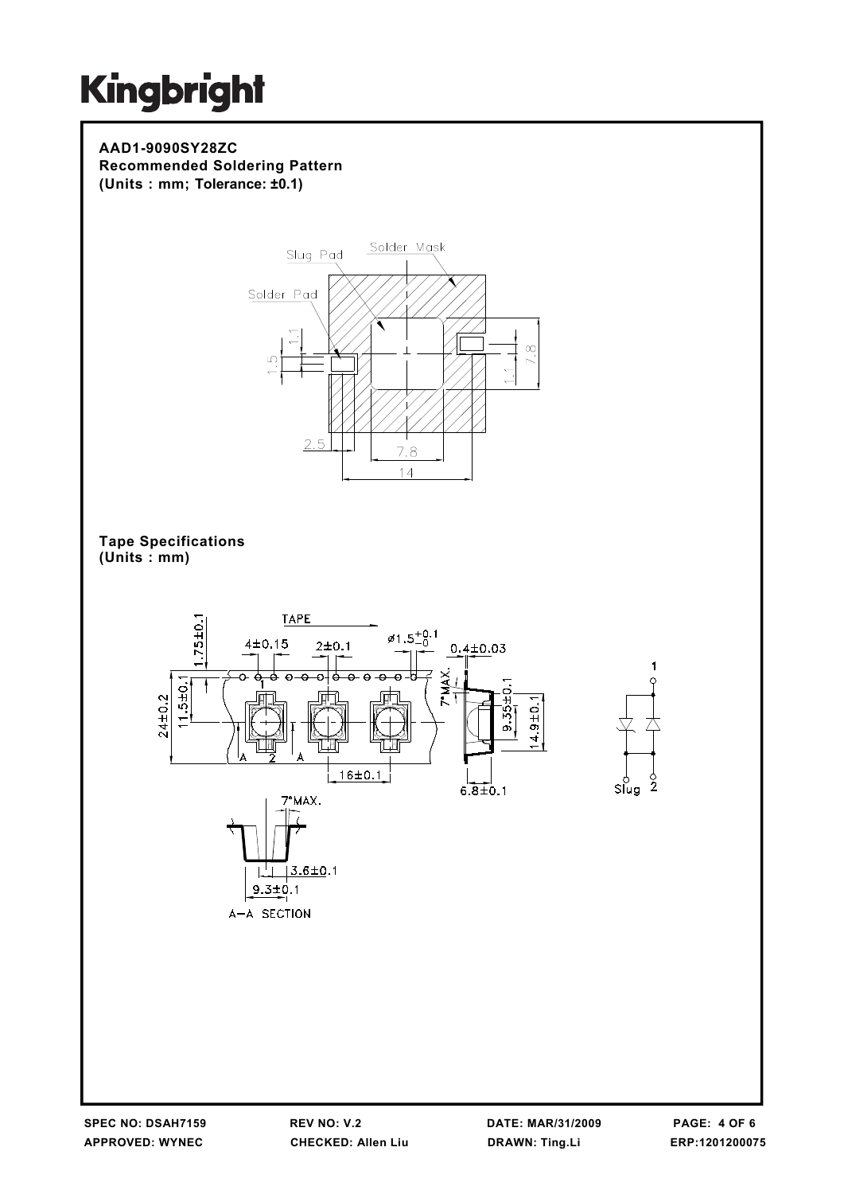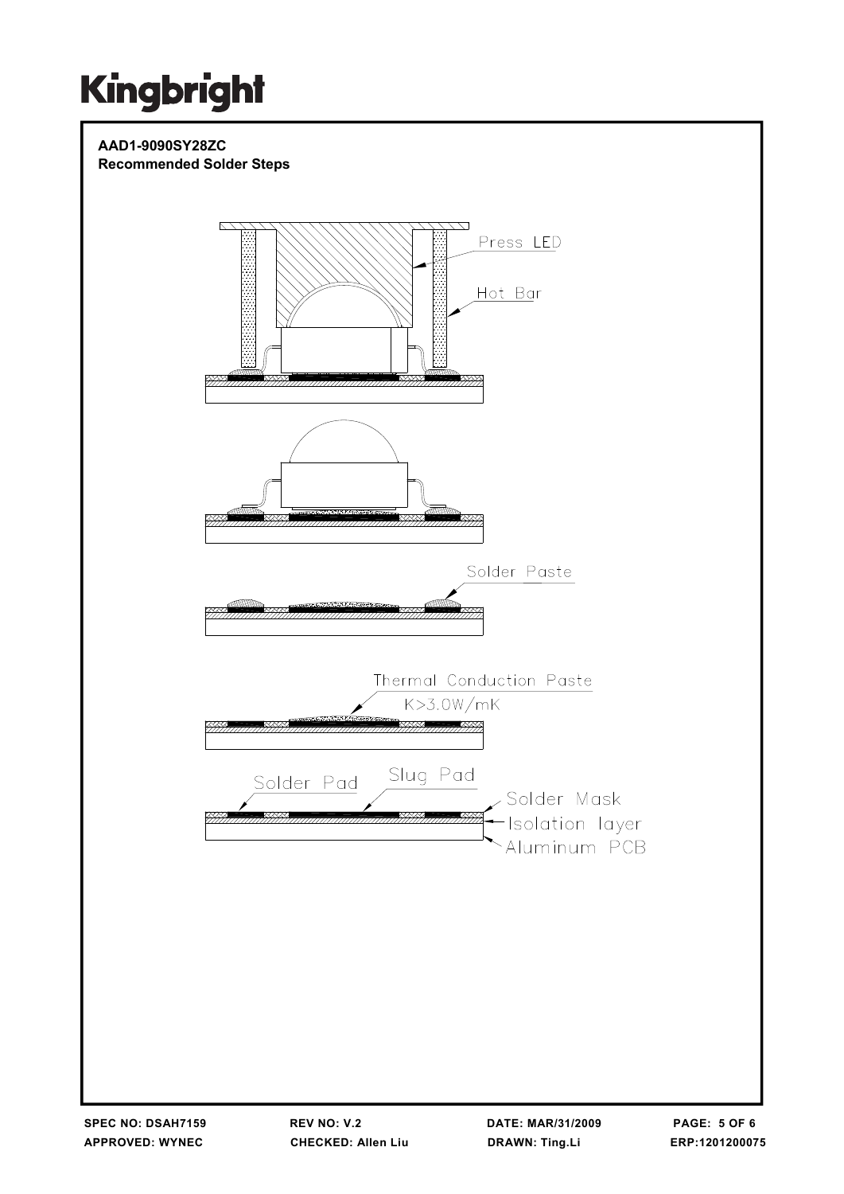#### **AAD1-9090SY28ZC Recommended Solder Steps**